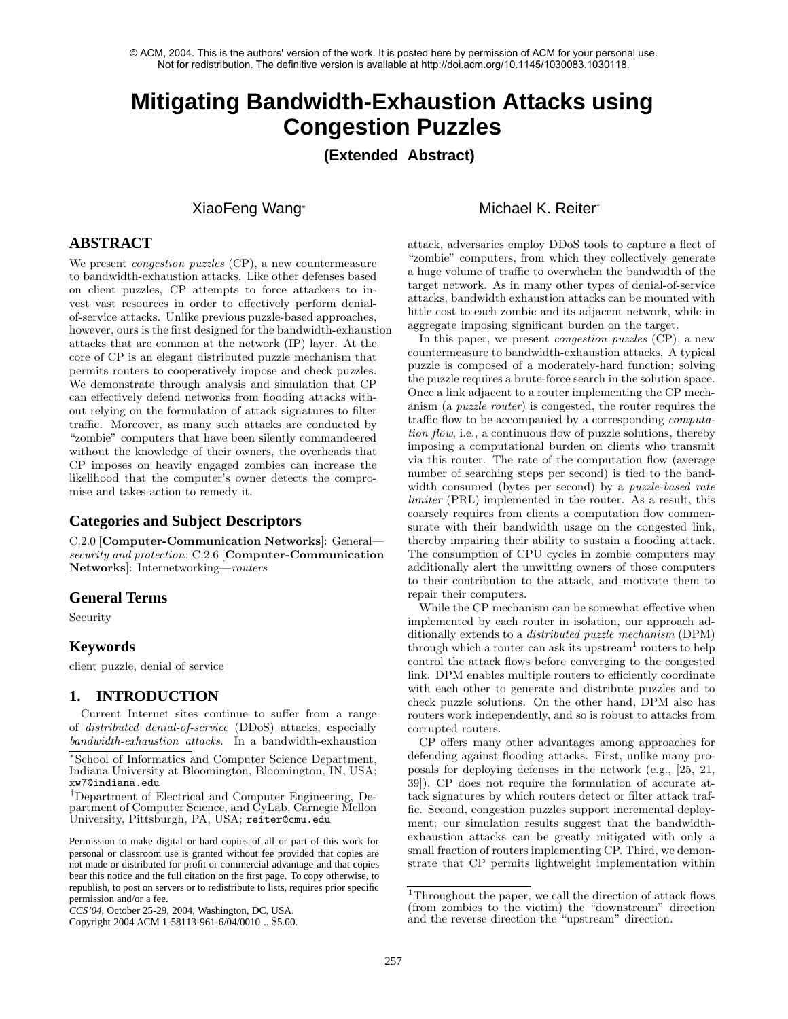# **Mitigating Bandwidth-Exhaustion Attacks using Congestion Puzzles**

**(Extended Abstract)**

# XiaoFeng Wang<sup>∗</sup> Michael K. Reitert

# **ABSTRACT**

We present *congestion puzzles* (CP), a new countermeasure to bandwidth-exhaustion attacks. Like other defenses based on client puzzles, CP attempts to force attackers to invest vast resources in order to effectively perform denialof-service attacks. Unlike previous puzzle-based approaches, however, ours is the first designed for the bandwidth-exhaustion attacks that are common at the network (IP) layer. At the core of CP is an elegant distributed puzzle mechanism that permits routers to cooperatively impose and check puzzles. We demonstrate through analysis and simulation that CP can effectively defend networks from flooding attacks without relying on the formulation of attack signatures to filter traffic. Moreover, as many such attacks are conducted by "zombie" computers that have been silently commandeered without the knowledge of their owners, the overheads that CP imposes on heavily engaged zombies can increase the likelihood that the computer's owner detects the compromise and takes action to remedy it.

#### **Categories and Subject Descriptors**

C.2.0 [**Computer-Communication Networks**]: General security and protection; C.2.6 [**Computer-Communication Networks**]: Internetworking—routers

#### **General Terms**

Security

#### **Keywords**

client puzzle, denial of service

#### **1. INTRODUCTION**

Current Internet sites continue to suffer from a range of distributed denial-of-service (DDoS) attacks, especially bandwidth-exhaustion attacks. In a bandwidth-exhaustion attack, adversaries employ DDoS tools to capture a fleet of "zombie" computers, from which they collectively generate a huge volume of traffic to overwhelm the bandwidth of the target network. As in many other types of denial-of-service attacks, bandwidth exhaustion attacks can be mounted with little cost to each zombie and its adjacent network, while in aggregate imposing significant burden on the target.

In this paper, we present congestion puzzles (CP), a new countermeasure to bandwidth-exhaustion attacks. A typical puzzle is composed of a moderately-hard function; solving the puzzle requires a brute-force search in the solution space. Once a link adjacent to a router implementing the CP mechanism (a puzzle router) is congested, the router requires the traffic flow to be accompanied by a corresponding computation flow, i.e., a continuous flow of puzzle solutions, thereby imposing a computational burden on clients who transmit via this router. The rate of the computation flow (average number of searching steps per second) is tied to the bandwidth consumed (bytes per second) by a puzzle-based rate limiter (PRL) implemented in the router. As a result, this coarsely requires from clients a computation flow commensurate with their bandwidth usage on the congested link, thereby impairing their ability to sustain a flooding attack. The consumption of CPU cycles in zombie computers may additionally alert the unwitting owners of those computers to their contribution to the attack, and motivate them to repair their computers.

While the CP mechanism can be somewhat effective when implemented by each router in isolation, our approach additionally extends to a distributed puzzle mechanism (DPM) through which a router can ask its upstream<sup>1</sup> routers to help control the attack flows before converging to the congested link. DPM enables multiple routers to efficiently coordinate with each other to generate and distribute puzzles and to check puzzle solutions. On the other hand, DPM also has routers work independently, and so is robust to attacks from corrupted routers.

CP offers many other advantages among approaches for defending against flooding attacks. First, unlike many proposals for deploying defenses in the network (e.g., [25, 21, 39]), CP does not require the formulation of accurate attack signatures by which routers detect or filter attack traffic. Second, congestion puzzles support incremental deployment; our simulation results suggest that the bandwidthexhaustion attacks can be greatly mitigated with only a small fraction of routers implementing CP. Third, we demonstrate that CP permits lightweight implementation within

<sup>∗</sup>School of Informatics and Computer Science Department, Indiana University at Bloomington, Bloomington, IN, USA; xw7@indiana.edu

<sup>†</sup>Department of Electrical and Computer Engineering, Department of Computer Science, and CyLab, Carnegie Mellon University, Pittsburgh, PA, USA; reiter@cmu.edu

Permission to make digital or hard copies of all or part of this work for personal or classroom use is granted without fee provided that copies are not made or distributed for profit or commercial advantage and that copies bear this notice and the full citation on the first page. To copy otherwise, to republish, to post on servers or to redistribute to lists, requires prior specific permission and/or a fee.

*CCS'04,* October 25-29, 2004, Washington, DC, USA.

Copyright 2004 ACM 1-58113-961-6/04/0010 ...\$5.00.

 $^{\rm 1}$  Throughout the paper, we call the direction of attack flows (from zombies to the victim) the "downstream" direction and the reverse direction the "upstream" direction.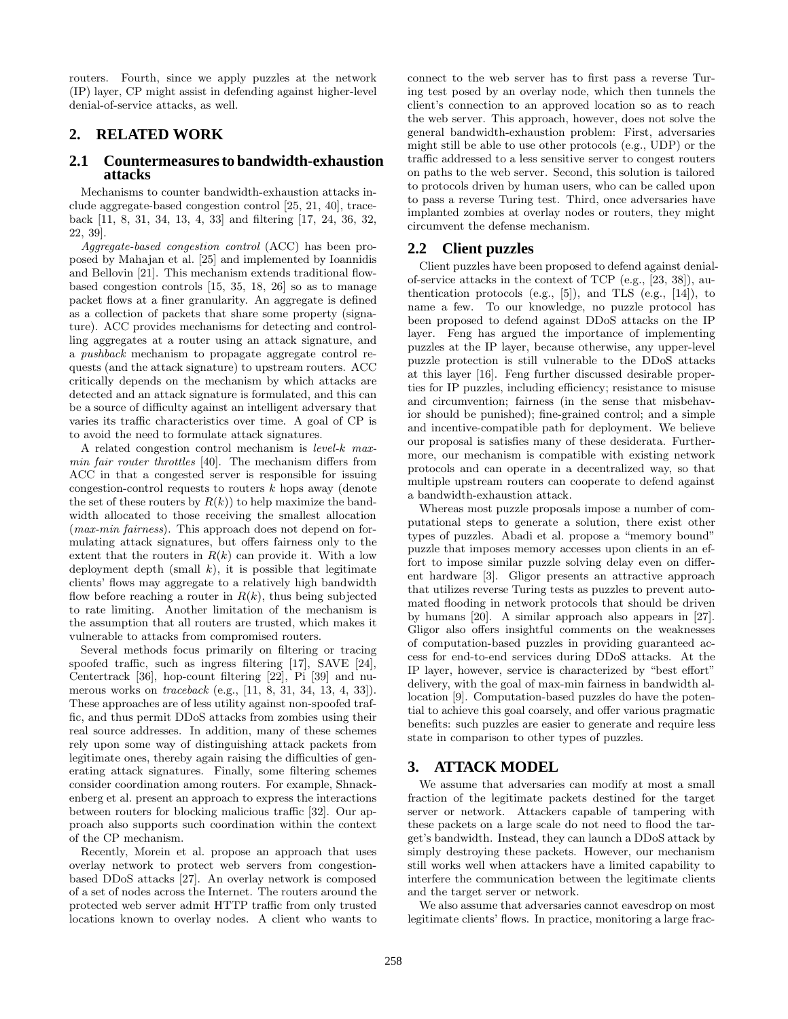routers. Fourth, since we apply puzzles at the network (IP) layer, CP might assist in defending against higher-level denial-of-service attacks, as well.

# **2. RELATED WORK**

#### **2.1 Countermeasures to bandwidth-exhaustion attacks**

Mechanisms to counter bandwidth-exhaustion attacks include aggregate-based congestion control [25, 21, 40], traceback [11, 8, 31, 34, 13, 4, 33] and filtering [17, 24, 36, 32, 22, 39].

Aggregate-based congestion control (ACC) has been proposed by Mahajan et al. [25] and implemented by Ioannidis and Bellovin [21]. This mechanism extends traditional flowbased congestion controls [15, 35, 18, 26] so as to manage packet flows at a finer granularity. An aggregate is defined as a collection of packets that share some property (signature). ACC provides mechanisms for detecting and controlling aggregates at a router using an attack signature, and a pushback mechanism to propagate aggregate control requests (and the attack signature) to upstream routers. ACC critically depends on the mechanism by which attacks are detected and an attack signature is formulated, and this can be a source of difficulty against an intelligent adversary that varies its traffic characteristics over time. A goal of CP is to avoid the need to formulate attack signatures.

A related congestion control mechanism is level-k maxmin fair router throttles [40]. The mechanism differs from ACC in that a congested server is responsible for issuing congestion-control requests to routers k hops away (denote the set of these routers by  $R(k)$  to help maximize the bandwidth allocated to those receiving the smallest allocation (max-min fairness). This approach does not depend on formulating attack signatures, but offers fairness only to the extent that the routers in  $R(k)$  can provide it. With a low deployment depth (small  $k$ ), it is possible that legitimate clients' flows may aggregate to a relatively high bandwidth flow before reaching a router in  $R(k)$ , thus being subjected to rate limiting. Another limitation of the mechanism is the assumption that all routers are trusted, which makes it vulnerable to attacks from compromised routers.

Several methods focus primarily on filtering or tracing spoofed traffic, such as ingress filtering [17], SAVE [24], Centertrack [36], hop-count filtering [22], Pi [39] and numerous works on traceback (e.g., [11, 8, 31, 34, 13, 4, 33]). These approaches are of less utility against non-spoofed traffic, and thus permit DDoS attacks from zombies using their real source addresses. In addition, many of these schemes rely upon some way of distinguishing attack packets from legitimate ones, thereby again raising the difficulties of generating attack signatures. Finally, some filtering schemes consider coordination among routers. For example, Shnackenberg et al. present an approach to express the interactions between routers for blocking malicious traffic [32]. Our approach also supports such coordination within the context of the CP mechanism.

Recently, Morein et al. propose an approach that uses overlay network to protect web servers from congestionbased DDoS attacks [27]. An overlay network is composed of a set of nodes across the Internet. The routers around the protected web server admit HTTP traffic from only trusted locations known to overlay nodes. A client who wants to connect to the web server has to first pass a reverse Turing test posed by an overlay node, which then tunnels the client's connection to an approved location so as to reach the web server. This approach, however, does not solve the general bandwidth-exhaustion problem: First, adversaries might still be able to use other protocols (e.g., UDP) or the traffic addressed to a less sensitive server to congest routers on paths to the web server. Second, this solution is tailored to protocols driven by human users, who can be called upon to pass a reverse Turing test. Third, once adversaries have implanted zombies at overlay nodes or routers, they might circumvent the defense mechanism.

#### **2.2 Client puzzles**

Client puzzles have been proposed to defend against denialof-service attacks in the context of TCP (e.g., [23, 38]), authentication protocols (e.g.,  $[5]$ ), and TLS (e.g.,  $[14]$ ), to name a few. To our knowledge, no puzzle protocol has been proposed to defend against DDoS attacks on the IP layer. Feng has argued the importance of implementing puzzles at the IP layer, because otherwise, any upper-level puzzle protection is still vulnerable to the DDoS attacks at this layer [16]. Feng further discussed desirable properties for IP puzzles, including efficiency; resistance to misuse and circumvention; fairness (in the sense that misbehavior should be punished); fine-grained control; and a simple and incentive-compatible path for deployment. We believe our proposal is satisfies many of these desiderata. Furthermore, our mechanism is compatible with existing network protocols and can operate in a decentralized way, so that multiple upstream routers can cooperate to defend against a bandwidth-exhaustion attack.

Whereas most puzzle proposals impose a number of computational steps to generate a solution, there exist other types of puzzles. Abadi et al. propose a "memory bound" puzzle that imposes memory accesses upon clients in an effort to impose similar puzzle solving delay even on different hardware [3]. Gligor presents an attractive approach that utilizes reverse Turing tests as puzzles to prevent automated flooding in network protocols that should be driven by humans [20]. A similar approach also appears in [27]. Gligor also offers insightful comments on the weaknesses of computation-based puzzles in providing guaranteed access for end-to-end services during DDoS attacks. At the IP layer, however, service is characterized by "best effort" delivery, with the goal of max-min fairness in bandwidth allocation [9]. Computation-based puzzles do have the potential to achieve this goal coarsely, and offer various pragmatic benefits: such puzzles are easier to generate and require less state in comparison to other types of puzzles.

#### **3. ATTACK MODEL**

We assume that adversaries can modify at most a small fraction of the legitimate packets destined for the target server or network. Attackers capable of tampering with these packets on a large scale do not need to flood the target's bandwidth. Instead, they can launch a DDoS attack by simply destroying these packets. However, our mechanism still works well when attackers have a limited capability to interfere the communication between the legitimate clients and the target server or network.

We also assume that adversaries cannot eavesdrop on most legitimate clients' flows. In practice, monitoring a large frac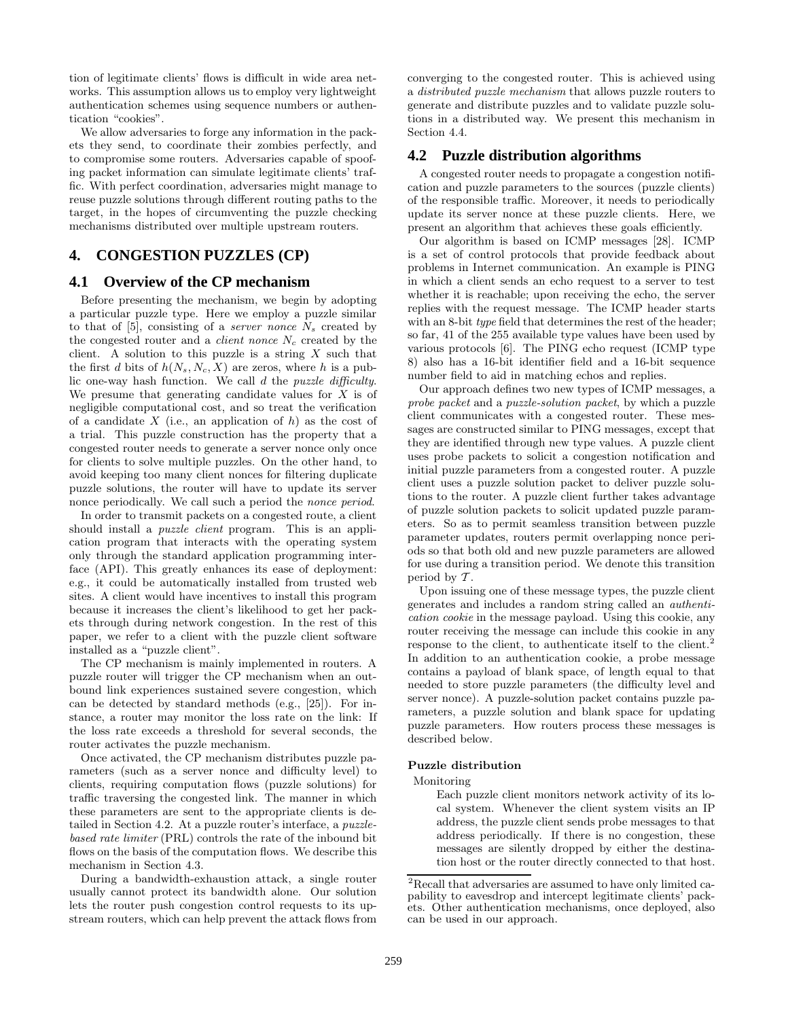tion of legitimate clients' flows is difficult in wide area networks. This assumption allows us to employ very lightweight authentication schemes using sequence numbers or authentication "cookies".

We allow adversaries to forge any information in the packets they send, to coordinate their zombies perfectly, and to compromise some routers. Adversaries capable of spoofing packet information can simulate legitimate clients' traffic. With perfect coordination, adversaries might manage to reuse puzzle solutions through different routing paths to the target, in the hopes of circumventing the puzzle checking mechanisms distributed over multiple upstream routers.

# **4. CONGESTION PUZZLES (CP)**

## **4.1 Overview of the CP mechanism**

Before presenting the mechanism, we begin by adopting a particular puzzle type. Here we employ a puzzle similar to that of [5], consisting of a *server nonce*  $N_s$  created by the congested router and a *client nonce*  $N_c$  created by the client. A solution to this puzzle is a string  $X$  such that the first d bits of  $h(N_s, N_c, X)$  are zeros, where h is a public one-way hash function. We call  $d$  the *puzzle difficulty*. We presume that generating candidate values for  $X$  is of negligible computational cost, and so treat the verification of a candidate  $X$  (i.e., an application of h) as the cost of a trial. This puzzle construction has the property that a congested router needs to generate a server nonce only once for clients to solve multiple puzzles. On the other hand, to avoid keeping too many client nonces for filtering duplicate puzzle solutions, the router will have to update its server nonce periodically. We call such a period the nonce period.

In order to transmit packets on a congested route, a client should install a *puzzle client* program. This is an application program that interacts with the operating system only through the standard application programming interface (API). This greatly enhances its ease of deployment: e.g., it could be automatically installed from trusted web sites. A client would have incentives to install this program because it increases the client's likelihood to get her packets through during network congestion. In the rest of this paper, we refer to a client with the puzzle client software installed as a "puzzle client".

The CP mechanism is mainly implemented in routers. A puzzle router will trigger the CP mechanism when an outbound link experiences sustained severe congestion, which can be detected by standard methods (e.g., [25]). For instance, a router may monitor the loss rate on the link: If the loss rate exceeds a threshold for several seconds, the router activates the puzzle mechanism.

Once activated, the CP mechanism distributes puzzle parameters (such as a server nonce and difficulty level) to clients, requiring computation flows (puzzle solutions) for traffic traversing the congested link. The manner in which these parameters are sent to the appropriate clients is detailed in Section 4.2. At a puzzle router's interface, a puzzlebased rate limiter (PRL) controls the rate of the inbound bit flows on the basis of the computation flows. We describe this mechanism in Section 4.3.

During a bandwidth-exhaustion attack, a single router usually cannot protect its bandwidth alone. Our solution lets the router push congestion control requests to its upstream routers, which can help prevent the attack flows from converging to the congested router. This is achieved using a distributed puzzle mechanism that allows puzzle routers to generate and distribute puzzles and to validate puzzle solutions in a distributed way. We present this mechanism in Section 4.4.

## **4.2 Puzzle distribution algorithms**

A congested router needs to propagate a congestion notification and puzzle parameters to the sources (puzzle clients) of the responsible traffic. Moreover, it needs to periodically update its server nonce at these puzzle clients. Here, we present an algorithm that achieves these goals efficiently.

Our algorithm is based on ICMP messages [28]. ICMP is a set of control protocols that provide feedback about problems in Internet communication. An example is PING in which a client sends an echo request to a server to test whether it is reachable; upon receiving the echo, the server replies with the request message. The ICMP header starts with an 8-bit *type* field that determines the rest of the header; so far, 41 of the 255 available type values have been used by various protocols [6]. The PING echo request (ICMP type 8) also has a 16-bit identifier field and a 16-bit sequence number field to aid in matching echos and replies.

Our approach defines two new types of ICMP messages, a probe packet and a puzzle-solution packet, by which a puzzle client communicates with a congested router. These messages are constructed similar to PING messages, except that they are identified through new type values. A puzzle client uses probe packets to solicit a congestion notification and initial puzzle parameters from a congested router. A puzzle client uses a puzzle solution packet to deliver puzzle solutions to the router. A puzzle client further takes advantage of puzzle solution packets to solicit updated puzzle parameters. So as to permit seamless transition between puzzle parameter updates, routers permit overlapping nonce periods so that both old and new puzzle parameters are allowed for use during a transition period. We denote this transition period by  $\mathcal T$ .

Upon issuing one of these message types, the puzzle client generates and includes a random string called an authentication cookie in the message payload. Using this cookie, any router receiving the message can include this cookie in any response to the client, to authenticate itself to the client.<sup>2</sup> In addition to an authentication cookie, a probe message contains a payload of blank space, of length equal to that needed to store puzzle parameters (the difficulty level and server nonce). A puzzle-solution packet contains puzzle parameters, a puzzle solution and blank space for updating puzzle parameters. How routers process these messages is described below.

#### **Puzzle distribution**

Monitoring

Each puzzle client monitors network activity of its local system. Whenever the client system visits an IP address, the puzzle client sends probe messages to that address periodically. If there is no congestion, these messages are silently dropped by either the destination host or the router directly connected to that host.

<sup>2</sup>Recall that adversaries are assumed to have only limited capability to eavesdrop and intercept legitimate clients' packets. Other authentication mechanisms, once deployed, also can be used in our approach.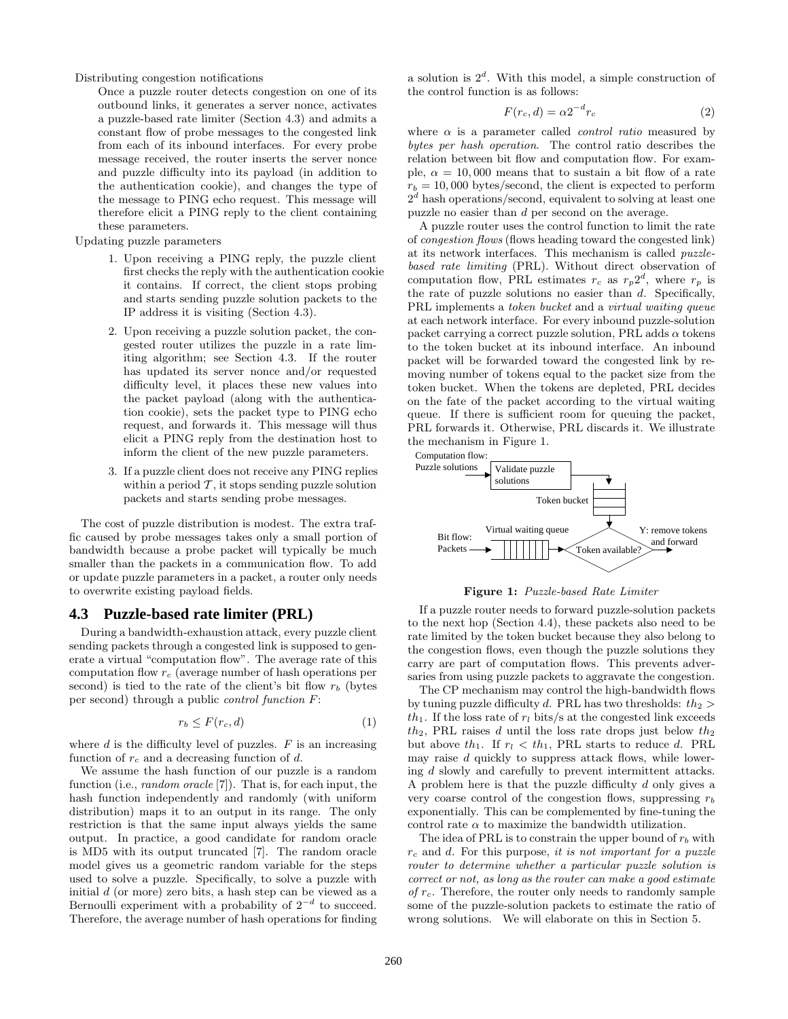Distributing congestion notifications

Once a puzzle router detects congestion on one of its outbound links, it generates a server nonce, activates a puzzle-based rate limiter (Section 4.3) and admits a constant flow of probe messages to the congested link from each of its inbound interfaces. For every probe message received, the router inserts the server nonce and puzzle difficulty into its payload (in addition to the authentication cookie), and changes the type of the message to PING echo request. This message will therefore elicit a PING reply to the client containing these parameters.

Updating puzzle parameters

- 1. Upon receiving a PING reply, the puzzle client first checks the reply with the authentication cookie it contains. If correct, the client stops probing and starts sending puzzle solution packets to the IP address it is visiting (Section 4.3).
- 2. Upon receiving a puzzle solution packet, the congested router utilizes the puzzle in a rate limiting algorithm; see Section 4.3. If the router has updated its server nonce and/or requested difficulty level, it places these new values into the packet payload (along with the authentication cookie), sets the packet type to PING echo request, and forwards it. This message will thus elicit a PING reply from the destination host to inform the client of the new puzzle parameters.
- 3. If a puzzle client does not receive any PING replies within a period  $\mathcal T$ , it stops sending puzzle solution packets and starts sending probe messages.

The cost of puzzle distribution is modest. The extra traffic caused by probe messages takes only a small portion of bandwidth because a probe packet will typically be much smaller than the packets in a communication flow. To add or update puzzle parameters in a packet, a router only needs to overwrite existing payload fields.

#### **4.3 Puzzle-based rate limiter (PRL)**

During a bandwidth-exhaustion attack, every puzzle client sending packets through a congested link is supposed to generate a virtual "computation flow". The average rate of this computation flow  $r_c$  (average number of hash operations per second) is tied to the rate of the client's bit flow  $r_b$  (bytes per second) through a public control function F:

$$
r_b \le F(r_c, d) \tag{1}
$$

where  $d$  is the difficulty level of puzzles.  $F$  is an increasing function of  $r_c$  and a decreasing function of d.

We assume the hash function of our puzzle is a random function (i.e., *random oracle* [7]). That is, for each input, the hash function independently and randomly (with uniform distribution) maps it to an output in its range. The only restriction is that the same input always yields the same output. In practice, a good candidate for random oracle is MD5 with its output truncated [7]. The random oracle model gives us a geometric random variable for the steps used to solve a puzzle. Specifically, to solve a puzzle with initial  $d$  (or more) zero bits, a hash step can be viewed as a Bernoulli experiment with a probability of  $2^{-d}$  to succeed. Therefore, the average number of hash operations for finding a solution is  $2<sup>d</sup>$ . With this model, a simple construction of the control function is as follows:

$$
F(r_c, d) = \alpha 2^{-d} r_c \tag{2}
$$

where  $\alpha$  is a parameter called *control ratio* measured by bytes per hash operation. The control ratio describes the relation between bit flow and computation flow. For example,  $\alpha = 10,000$  means that to sustain a bit flow of a rate  $r_b = 10,000$  bytes/second, the client is expected to perform  $2<sup>d</sup>$  hash operations/second, equivalent to solving at least one puzzle no easier than d per second on the average.

A puzzle router uses the control function to limit the rate of congestion flows (flows heading toward the congested link) at its network interfaces. This mechanism is called puzzlebased rate limiting (PRL). Without direct observation of computation flow, PRL estimates  $r_c$  as  $r_p 2^d$ , where  $r_p$  is the rate of puzzle solutions no easier than  $d$ . Specifically, PRL implements a token bucket and a virtual waiting queue at each network interface. For every inbound puzzle-solution packet carrying a correct puzzle solution, PRL adds  $\alpha$  tokens to the token bucket at its inbound interface. An inbound packet will be forwarded toward the congested link by removing number of tokens equal to the packet size from the token bucket. When the tokens are depleted, PRL decides on the fate of the packet according to the virtual waiting queue. If there is sufficient room for queuing the packet, PRL forwards it. Otherwise, PRL discards it. We illustrate the mechanism in Figure 1.





**Figure 1:** Puzzle-based Rate Limiter

If a puzzle router needs to forward puzzle-solution packets to the next hop (Section 4.4), these packets also need to be rate limited by the token bucket because they also belong to the congestion flows, even though the puzzle solutions they carry are part of computation flows. This prevents adversaries from using puzzle packets to aggravate the congestion.

The CP mechanism may control the high-bandwidth flows by tuning puzzle difficulty d. PRL has two thresholds:  $th_2$  $th_1$ . If the loss rate of  $r_l$  bits/s at the congested link exceeds  $th_2$ , PRL raises d until the loss rate drops just below  $th_2$ but above  $th_1$ . If  $r_l < th_1$ , PRL starts to reduce d. PRL may raise d quickly to suppress attack flows, while lowering d slowly and carefully to prevent intermittent attacks. A problem here is that the puzzle difficulty d only gives a very coarse control of the congestion flows, suppressing  $r<sub>b</sub>$ exponentially. This can be complemented by fine-tuning the control rate  $\alpha$  to maximize the bandwidth utilization.

The idea of PRL is to constrain the upper bound of  $r_b$  with  $r_c$  and d. For this purpose, it is not important for a puzzle router to determine whether a particular puzzle solution is correct or not, as long as the router can make a good estimate of  $r_c$ . Therefore, the router only needs to randomly sample some of the puzzle-solution packets to estimate the ratio of wrong solutions. We will elaborate on this in Section 5.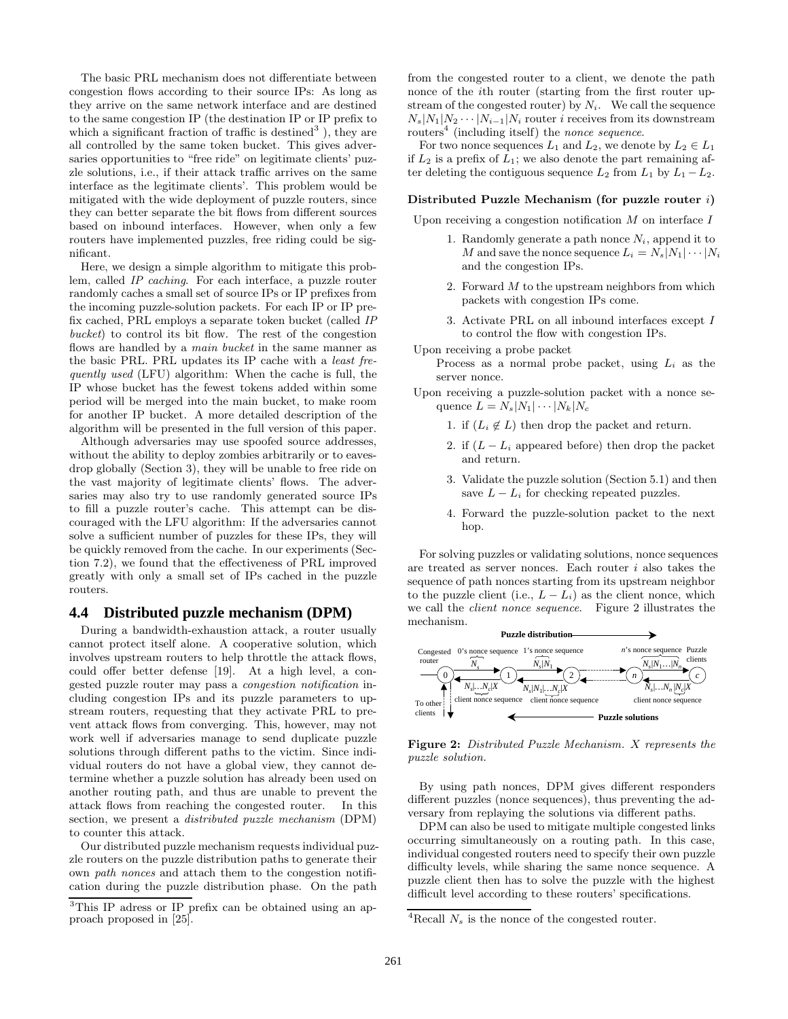The basic PRL mechanism does not differentiate between congestion flows according to their source IPs: As long as they arrive on the same network interface and are destined to the same congestion IP (the destination IP or IP prefix to which a significant fraction of traffic is destined<sup>3</sup>), they are all controlled by the same token bucket. This gives adversaries opportunities to "free ride" on legitimate clients' puzzle solutions, i.e., if their attack traffic arrives on the same interface as the legitimate clients'. This problem would be mitigated with the wide deployment of puzzle routers, since they can better separate the bit flows from different sources based on inbound interfaces. However, when only a few routers have implemented puzzles, free riding could be significant.

Here, we design a simple algorithm to mitigate this problem, called IP caching. For each interface, a puzzle router randomly caches a small set of source IPs or IP prefixes from the incoming puzzle-solution packets. For each IP or IP prefix cached, PRL employs a separate token bucket (called IP bucket) to control its bit flow. The rest of the congestion flows are handled by a *main bucket* in the same manner as the basic PRL. PRL updates its IP cache with a least frequently used (LFU) algorithm: When the cache is full, the IP whose bucket has the fewest tokens added within some period will be merged into the main bucket, to make room for another IP bucket. A more detailed description of the algorithm will be presented in the full version of this paper.

Although adversaries may use spoofed source addresses, without the ability to deploy zombies arbitrarily or to eavesdrop globally (Section 3), they will be unable to free ride on the vast majority of legitimate clients' flows. The adversaries may also try to use randomly generated source IPs to fill a puzzle router's cache. This attempt can be discouraged with the LFU algorithm: If the adversaries cannot solve a sufficient number of puzzles for these IPs, they will be quickly removed from the cache. In our experiments (Section 7.2), we found that the effectiveness of PRL improved greatly with only a small set of IPs cached in the puzzle routers.

#### **4.4 Distributed puzzle mechanism (DPM)**

During a bandwidth-exhaustion attack, a router usually cannot protect itself alone. A cooperative solution, which involves upstream routers to help throttle the attack flows, could offer better defense [19]. At a high level, a congested puzzle router may pass a congestion notification including congestion IPs and its puzzle parameters to upstream routers, requesting that they activate PRL to prevent attack flows from converging. This, however, may not work well if adversaries manage to send duplicate puzzle solutions through different paths to the victim. Since individual routers do not have a global view, they cannot determine whether a puzzle solution has already been used on another routing path, and thus are unable to prevent the attack flows from reaching the congested router. In this section, we present a distributed puzzle mechanism (DPM) to counter this attack.

Our distributed puzzle mechanism requests individual puzzle routers on the puzzle distribution paths to generate their own path nonces and attach them to the congestion notification during the puzzle distribution phase. On the path

from the congested router to a client, we denote the path nonce of the ith router (starting from the first router upstream of the congested router) by  $N_i$ . We call the sequence  $N_s|N_1|N_2\cdots|N_{i-1}|N_i$  router i receives from its downstream routers<sup>4</sup> (including itself) the *nonce sequence*.

For two nonce sequences  $L_1$  and  $L_2$ , we denote by  $L_2 \in L_1$ if  $L_2$  is a prefix of  $L_1$ ; we also denote the part remaining after deleting the contiguous sequence  $L_2$  from  $L_1$  by  $L_1 - L_2$ .

#### **Distributed Puzzle Mechanism (for puzzle router** i**)**

Upon receiving a congestion notification  $M$  on interface  $I$ 

- 1. Randomly generate a path nonce  $N_i$ , append it to M and save the nonce sequence  $L_i = N_s|N_1|\cdots|N_i$ and the congestion IPs.
- 2. Forward  $M$  to the upstream neighbors from which packets with congestion IPs come.
- 3. Activate PRL on all inbound interfaces except I to control the flow with congestion IPs.

Upon receiving a probe packet

- Process as a normal probe packet, using  $L_i$  as the server nonce.
- Upon receiving a puzzle-solution packet with a nonce sequence  $L = N_s|N_1|\cdots|N_k|N_c$ 
	- 1. if  $(L_i \notin L)$  then drop the packet and return.
	- 2. if  $(L L_i)$  appeared before) then drop the packet and return.
	- 3. Validate the puzzle solution (Section 5.1) and then save  $L - L_i$  for checking repeated puzzles.
	- 4. Forward the puzzle-solution packet to the next hop.

For solving puzzles or validating solutions, nonce sequences are treated as server nonces. Each router i also takes the sequence of path nonces starting from its upstream neighbor to the puzzle client (i.e.,  $L - L_i$ ) as the client nonce, which we call the client nonce sequence. Figure 2 illustrates the mechanism.



**Figure 2:** Distributed Puzzle Mechanism. X represents the puzzle solution.

By using path nonces, DPM gives different responders different puzzles (nonce sequences), thus preventing the adversary from replaying the solutions via different paths.

DPM can also be used to mitigate multiple congested links occurring simultaneously on a routing path. In this case, individual congested routers need to specify their own puzzle difficulty levels, while sharing the same nonce sequence. A puzzle client then has to solve the puzzle with the highest difficult level according to these routers' specifications.

<sup>3</sup>This IP adress or IP prefix can be obtained using an approach proposed in [25].

<sup>&</sup>lt;sup>4</sup>Recall  $N_s$  is the nonce of the congested router.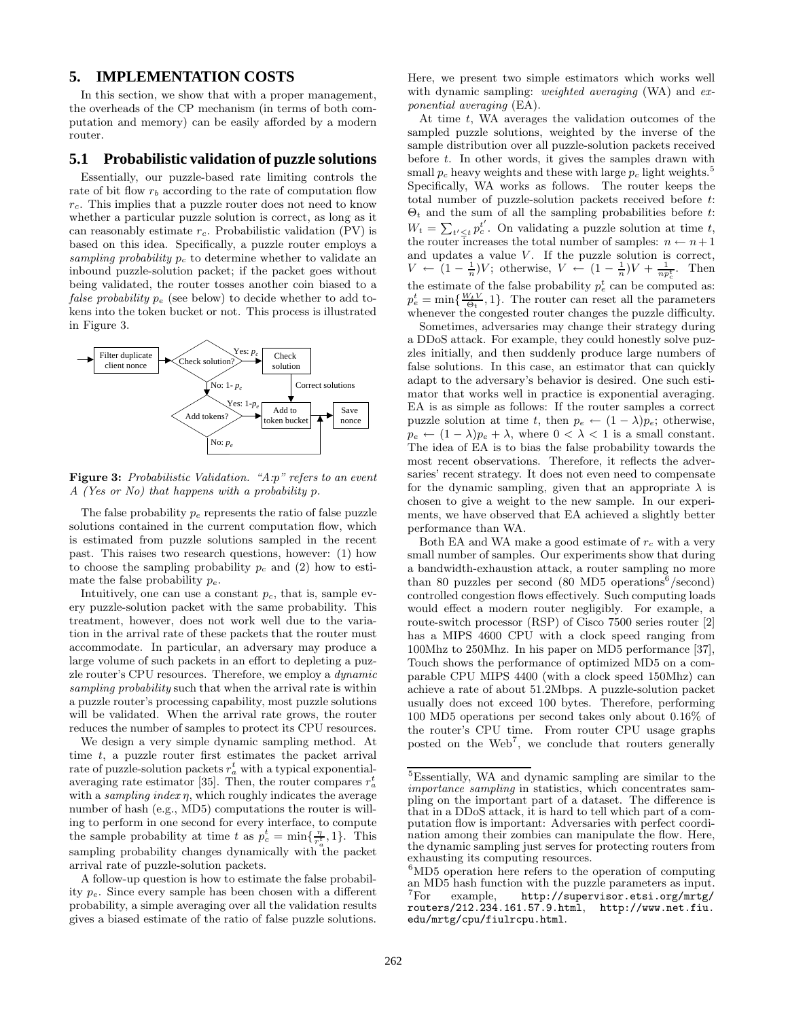#### **5. IMPLEMENTATION COSTS**

In this section, we show that with a proper management, the overheads of the CP mechanism (in terms of both computation and memory) can be easily afforded by a modern router.

#### **5.1 Probabilistic validation of puzzle solutions**

Essentially, our puzzle-based rate limiting controls the rate of bit flow  $r_b$  according to the rate of computation flow  $r_c$ . This implies that a puzzle router does not need to know whether a particular puzzle solution is correct, as long as it can reasonably estimate  $r_c$ . Probabilistic validation (PV) is based on this idea. Specifically, a puzzle router employs a sampling probability  $p_c$  to determine whether to validate an inbound puzzle-solution packet; if the packet goes without being validated, the router tosses another coin biased to a false probability  $p_e$  (see below) to decide whether to add tokens into the token bucket or not. This process is illustrated in Figure 3.



**Figure 3:** Probabilistic Validation. "A:p" refers to an event A (Yes or No) that happens with a probability p.

The false probability  $p_e$  represents the ratio of false puzzle solutions contained in the current computation flow, which is estimated from puzzle solutions sampled in the recent past. This raises two research questions, however: (1) how to choose the sampling probability  $p_c$  and (2) how to estimate the false probability  $p_e$ .

Intuitively, one can use a constant  $p_c$ , that is, sample every puzzle-solution packet with the same probability. This treatment, however, does not work well due to the variation in the arrival rate of these packets that the router must accommodate. In particular, an adversary may produce a large volume of such packets in an effort to depleting a puzzle router's CPU resources. Therefore, we employ a dynamic sampling probability such that when the arrival rate is within a puzzle router's processing capability, most puzzle solutions will be validated. When the arrival rate grows, the router reduces the number of samples to protect its CPU resources.

We design a very simple dynamic sampling method. At time  $t$ , a puzzle router first estimates the packet arrival rate of puzzle-solution packets  $r_a^t$  with a typical exponentialaveraging rate estimator [35]. Then, the router compares  $r_a^t$ with a *sampling index*  $\eta$ , which roughly indicates the average number of hash (e.g., MD5) computations the router is willing to perform in one second for every interface, to compute the sample probability at time t as  $p_c^t = \min\{\frac{\eta}{r^t}, 1\}$ . This sampling probability changes dynamically with the packet arrival rate of puzzle-solution packets.

A follow-up question is how to estimate the false probability  $p_e$ . Since every sample has been chosen with a different probability, a simple averaging over all the validation results gives a biased estimate of the ratio of false puzzle solutions.

Here, we present two simple estimators which works well with dynamic sampling: *weighted averaging* (WA) and exponential averaging (EA).

At time t, WA averages the validation outcomes of the sampled puzzle solutions, weighted by the inverse of the sample distribution over all puzzle-solution packets received before t. In other words, it gives the samples drawn with small  $p_c$  heavy weights and these with large  $p_c$  light weights.<sup>5</sup> Specifically, WA works as follows. The router keeps the total number of puzzle-solution packets received before t:  $\Theta_t$  and the sum of all the sampling probabilities before t:  $W_t = \sum_{t' \leq t} p_c^{t'}$ . On validating a puzzle solution at time  $t$ , the router increases the total number of samples:  $n \leftarrow n+1$ and updates a value  $V$ . If the puzzle solution is correct,  $V \leftarrow (1 - \frac{1}{n})V$ ; otherwise,  $V \leftarrow (1 - \frac{1}{n})V + \frac{1}{nn^t}$ . Then the estimate of the false probability  $p_e^t$  can be computed as:<br>  $p_e^t = \min\{\frac{W_t V}{\Theta_t}, 1\}$ . The router can reset all the parameters<br>
whenever the congested router changes the puzzle difficulty.

Sometimes, adversaries may change their strategy during a DDoS attack. For example, they could honestly solve puzzles initially, and then suddenly produce large numbers of false solutions. In this case, an estimator that can quickly adapt to the adversary's behavior is desired. One such estimator that works well in practice is exponential averaging. EA is as simple as follows: If the router samples a correct puzzle solution at time t, then  $p_e \leftarrow (1 - \lambda)p_e$ ; otherwise,  $p_e \leftarrow (1 - \lambda)p_e + \lambda$ , where  $0 < \lambda < 1$  is a small constant. The idea of EA is to bias the false probability towards the most recent observations. Therefore, it reflects the adversaries' recent strategy. It does not even need to compensate for the dynamic sampling, given that an appropriate  $\lambda$  is chosen to give a weight to the new sample. In our experiments, we have observed that EA achieved a slightly better performance than WA.

Both EA and WA make a good estimate of  $r_c$  with a very small number of samples. Our experiments show that during a bandwidth-exhaustion attack, a router sampling no more than 80 puzzles per second (80 MD5 operations<sup>6</sup>/second) controlled congestion flows effectively. Such computing loads would effect a modern router negligibly. For example, a route-switch processor (RSP) of Cisco 7500 series router [2] has a MIPS 4600 CPU with a clock speed ranging from 100Mhz to 250Mhz. In his paper on MD5 performance [37], Touch shows the performance of optimized MD5 on a comparable CPU MIPS 4400 (with a clock speed 150Mhz) can achieve a rate of about 51.2Mbps. A puzzle-solution packet usually does not exceed 100 bytes. Therefore, performing 100 MD5 operations per second takes only about 0.16% of the router's CPU time. From router CPU usage graphs posted on the  $Web^7$ , we conclude that routers generally

<sup>5</sup>Essentially, WA and dynamic sampling are similar to the importance sampling in statistics, which concentrates sampling on the important part of a dataset. The difference is that in a DDoS attack, it is hard to tell which part of a computation flow is important: Adversaries with perfect coordination among their zombies can manipulate the flow. Here, the dynamic sampling just serves for protecting routers from exhausting its computing resources.

<sup>&</sup>lt;sup>6</sup>MD5 operation here refers to the operation of computing an MD5 hash function with the puzzle parameters as input.<br> ${}^{7}$ For example, http://supervisor.etsi.org/mrtg/ example, http://supervisor.etsi.org/mrtg/ routers/212.234.161.57.9.html, http://www.net.fiu. edu/mrtg/cpu/fiulrcpu.html.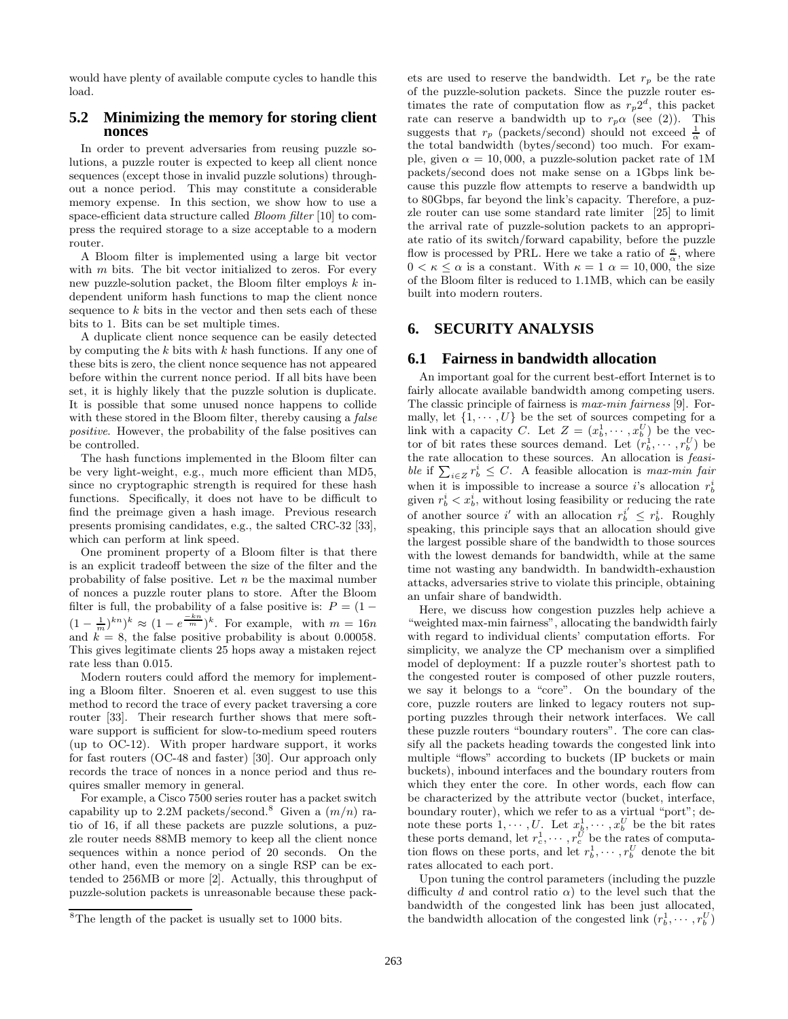would have plenty of available compute cycles to handle this load.

#### **5.2 Minimizing the memory for storing client nonces**

In order to prevent adversaries from reusing puzzle solutions, a puzzle router is expected to keep all client nonce sequences (except those in invalid puzzle solutions) throughout a nonce period. This may constitute a considerable memory expense. In this section, we show how to use a space-efficient data structure called Bloom filter [10] to compress the required storage to a size acceptable to a modern router.

A Bloom filter is implemented using a large bit vector with  $m$  bits. The bit vector initialized to zeros. For every new puzzle-solution packet, the Bloom filter employs k independent uniform hash functions to map the client nonce sequence to  $k$  bits in the vector and then sets each of these bits to 1. Bits can be set multiple times.

A duplicate client nonce sequence can be easily detected by computing the  $k$  bits with  $k$  hash functions. If any one of these bits is zero, the client nonce sequence has not appeared before within the current nonce period. If all bits have been set, it is highly likely that the puzzle solution is duplicate. It is possible that some unused nonce happens to collide with these stored in the Bloom filter, thereby causing a *false* positive. However, the probability of the false positives can be controlled.

The hash functions implemented in the Bloom filter can be very light-weight, e.g., much more efficient than MD5, since no cryptographic strength is required for these hash functions. Specifically, it does not have to be difficult to find the preimage given a hash image. Previous research presents promising candidates, e.g., the salted CRC-32 [33], which can perform at link speed.

One prominent property of a Bloom filter is that there is an explicit tradeoff between the size of the filter and the probability of false positive. Let  $n$  be the maximal number of nonces a puzzle router plans to store. After the Bloom filter is full, the probability of a false positive is:  $P = (1 (1-\frac{1}{m})^{kn}$ <sup>k</sup>  $\approx (1-e^{\frac{-kn}{m}})^k$ . For example, with  $m=16n$ and  $k = 8$ , the false positive probability is about 0.00058. This gives legitimate clients 25 hops away a mistaken reject rate less than 0.015.

Modern routers could afford the memory for implementing a Bloom filter. Snoeren et al. even suggest to use this method to record the trace of every packet traversing a core router [33]. Their research further shows that mere software support is sufficient for slow-to-medium speed routers (up to OC-12). With proper hardware support, it works for fast routers (OC-48 and faster) [30]. Our approach only records the trace of nonces in a nonce period and thus requires smaller memory in general.

For example, a Cisco 7500 series router has a packet switch capability up to 2.2M packets/second.<sup>8</sup> Given a  $(m/n)$  ratio of 16, if all these packets are puzzle solutions, a puzzle router needs 88MB memory to keep all the client nonce sequences within a nonce period of 20 seconds. On the other hand, even the memory on a single RSP can be extended to 256MB or more [2]. Actually, this throughput of puzzle-solution packets is unreasonable because these packets are used to reserve the bandwidth. Let  $r_p$  be the rate of the puzzle-solution packets. Since the puzzle router estimates the rate of computation flow as  $r_p 2^d$ , this packet rate can reserve a bandwidth up to  $r_p \alpha$  (see (2)). This suggests that  $r_p$  (packets/second) should not exceed  $\frac{1}{\alpha}$  of the total bandwidth (bytes/second) too much. For example, given  $\alpha = 10,000$ , a puzzle-solution packet rate of 1M packets/second does not make sense on a 1Gbps link because this puzzle flow attempts to reserve a bandwidth up to 80Gbps, far beyond the link's capacity. Therefore, a puzzle router can use some standard rate limiter [25] to limit the arrival rate of puzzle-solution packets to an appropriate ratio of its switch/forward capability, before the puzzle flow is processed by PRL. Here we take a ratio of  $\frac{\kappa}{\alpha}$ , where  $0 < \kappa \leq \alpha$  is a constant. With  $\kappa = 1 \alpha = 10,000$ , the size of the Bloom filter is reduced to 1.1MB, which can be easily built into modern routers.

#### **6. SECURITY ANALYSIS**

#### **6.1 Fairness in bandwidth allocation**

An important goal for the current best-effort Internet is to fairly allocate available bandwidth among competing users. The classic principle of fairness is max-min fairness [9]. Formally, let  $\{1, \dots, U\}$  be the set of sources competing for a link with a capacity C. Let  $Z = (x_b^1, \dots, x_b^U)$  be the vector of bit rates these sources demand. Let  $(r_b^1, \dots, r_b^U)$  be the rate allocation to these sources. An allocation is feasible if  $\sum_{i\in \mathbb{Z}} r_b^i \leq C$ . A feasible allocation is max-min fair when it is impossible to increase a source *i*'s allocation  $r_b^i$ given  $r_b^i < x_b^i$ , without losing feasibility or reducing the rate of another source i' with an allocation  $r_b^{i'} \n\t\leq r_b^i$ . Roughly speaking, this principle says that an allocation should give the largest possible share of the bandwidth to those sources with the lowest demands for bandwidth, while at the same time not wasting any bandwidth. In bandwidth-exhaustion attacks, adversaries strive to violate this principle, obtaining an unfair share of bandwidth.

Here, we discuss how congestion puzzles help achieve a "weighted max-min fairness", allocating the bandwidth fairly with regard to individual clients' computation efforts. For simplicity, we analyze the CP mechanism over a simplified model of deployment: If a puzzle router's shortest path to the congested router is composed of other puzzle routers, we say it belongs to a "core". On the boundary of the core, puzzle routers are linked to legacy routers not supporting puzzles through their network interfaces. We call these puzzle routers "boundary routers". The core can classify all the packets heading towards the congested link into multiple "flows" according to buckets (IP buckets or main buckets), inbound interfaces and the boundary routers from which they enter the core. In other words, each flow can be characterized by the attribute vector (bucket, interface, boundary router), which we refer to as a virtual "port"; denote these ports  $1, \dots, U$ . Let  $x_b^1, \dots, x_b^U$  be the bit rates these ports demand, let  $r_c^1, \cdots, r_c^{\tilde{U}}$  be the rates of computation flows on these ports, and let  $r_b^1, \dots, r_b^U$  denote the bit rates allocated to each port.

Upon tuning the control parameters (including the puzzle difficulty d and control ratio  $\alpha$ ) to the level such that the bandwidth of the congested link has been just allocated, the bandwidth allocation of the congested link  $(r_b^1, \dots, r_b^U)$ 

 $^8\mathrm{The}$  length of the packet is usually set to 1000 bits.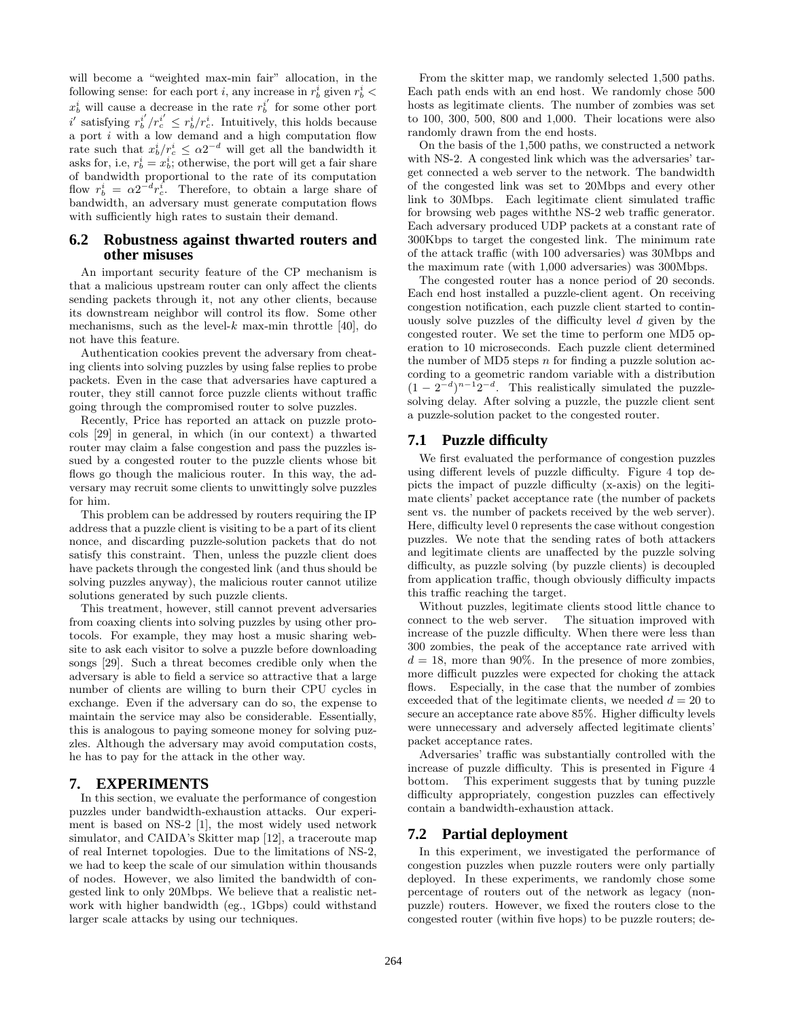will become a "weighted max-min fair" allocation, in the following sense: for each port *i*, any increase in  $r_b^i$  given  $r_b^i$  <  $x_b^i$  will cause a decrease in the rate  $r_b^{i'}$  for some other port i' satisfying  $r_b^{i'}/r_c^{i'} \leq r_b^{i}/r_c^{i}$ . Intuitively, this holds because a port  $i$  with a low demand and a high computation flow rate such that  $x_b^i/r_c^i \leq \alpha 2^{-d}$  will get all the bandwidth it asks for, i.e,  $r_b^i = x_b^i$ ; otherwise, the port will get a fair share of bandwidth proportional to the rate of its computation flow  $r_b^i = \alpha 2^{-d} r_c^i$ . Therefore, to obtain a large share of bandwidth, an adversary must generate computation flows with sufficiently high rates to sustain their demand.

#### **6.2 Robustness against thwarted routers and other misuses**

An important security feature of the CP mechanism is that a malicious upstream router can only affect the clients sending packets through it, not any other clients, because its downstream neighbor will control its flow. Some other mechanisms, such as the level- $k$  max-min throttle [40], do not have this feature.

Authentication cookies prevent the adversary from cheating clients into solving puzzles by using false replies to probe packets. Even in the case that adversaries have captured a router, they still cannot force puzzle clients without traffic going through the compromised router to solve puzzles.

Recently, Price has reported an attack on puzzle protocols [29] in general, in which (in our context) a thwarted router may claim a false congestion and pass the puzzles issued by a congested router to the puzzle clients whose bit flows go though the malicious router. In this way, the adversary may recruit some clients to unwittingly solve puzzles for him.

This problem can be addressed by routers requiring the IP address that a puzzle client is visiting to be a part of its client nonce, and discarding puzzle-solution packets that do not satisfy this constraint. Then, unless the puzzle client does have packets through the congested link (and thus should be solving puzzles anyway), the malicious router cannot utilize solutions generated by such puzzle clients.

This treatment, however, still cannot prevent adversaries from coaxing clients into solving puzzles by using other protocols. For example, they may host a music sharing website to ask each visitor to solve a puzzle before downloading songs [29]. Such a threat becomes credible only when the adversary is able to field a service so attractive that a large number of clients are willing to burn their CPU cycles in exchange. Even if the adversary can do so, the expense to maintain the service may also be considerable. Essentially, this is analogous to paying someone money for solving puzzles. Although the adversary may avoid computation costs, he has to pay for the attack in the other way.

#### **7. EXPERIMENTS**

In this section, we evaluate the performance of congestion puzzles under bandwidth-exhaustion attacks. Our experiment is based on NS-2 [1], the most widely used network simulator, and CAIDA's Skitter map [12], a traceroute map of real Internet topologies. Due to the limitations of NS-2, we had to keep the scale of our simulation within thousands of nodes. However, we also limited the bandwidth of congested link to only 20Mbps. We believe that a realistic network with higher bandwidth (eg., 1Gbps) could withstand larger scale attacks by using our techniques.

From the skitter map, we randomly selected 1,500 paths. Each path ends with an end host. We randomly chose 500 hosts as legitimate clients. The number of zombies was set to 100, 300, 500, 800 and 1,000. Their locations were also randomly drawn from the end hosts.

On the basis of the 1,500 paths, we constructed a network with NS-2. A congested link which was the adversaries' target connected a web server to the network. The bandwidth of the congested link was set to 20Mbps and every other link to 30Mbps. Each legitimate client simulated traffic for browsing web pages withthe NS-2 web traffic generator. Each adversary produced UDP packets at a constant rate of 300Kbps to target the congested link. The minimum rate of the attack traffic (with 100 adversaries) was 30Mbps and the maximum rate (with 1,000 adversaries) was 300Mbps.

The congested router has a nonce period of 20 seconds. Each end host installed a puzzle-client agent. On receiving congestion notification, each puzzle client started to continuously solve puzzles of the difficulty level  $d$  given by the congested router. We set the time to perform one MD5 operation to 10 microseconds. Each puzzle client determined the number of MD5 steps  $n$  for finding a puzzle solution according to a geometric random variable with a distribution  $(1 - 2^{-d})^{n-1}2^{-d}$ . This realistically simulated the puzzlesolving delay. After solving a puzzle, the puzzle client sent a puzzle-solution packet to the congested router.

#### **7.1 Puzzle difficulty**

We first evaluated the performance of congestion puzzles using different levels of puzzle difficulty. Figure 4 top depicts the impact of puzzle difficulty (x-axis) on the legitimate clients' packet acceptance rate (the number of packets sent vs. the number of packets received by the web server). Here, difficulty level 0 represents the case without congestion puzzles. We note that the sending rates of both attackers and legitimate clients are unaffected by the puzzle solving difficulty, as puzzle solving (by puzzle clients) is decoupled from application traffic, though obviously difficulty impacts this traffic reaching the target.

Without puzzles, legitimate clients stood little chance to connect to the web server. The situation improved with increase of the puzzle difficulty. When there were less than 300 zombies, the peak of the acceptance rate arrived with  $d = 18$ , more than 90%. In the presence of more zombies, more difficult puzzles were expected for choking the attack flows. Especially, in the case that the number of zombies exceeded that of the legitimate clients, we needed  $d = 20$  to secure an acceptance rate above 85%. Higher difficulty levels were unnecessary and adversely affected legitimate clients' packet acceptance rates.

Adversaries' traffic was substantially controlled with the increase of puzzle difficulty. This is presented in Figure 4 bottom. This experiment suggests that by tuning puzzle difficulty appropriately, congestion puzzles can effectively contain a bandwidth-exhaustion attack.

#### **7.2 Partial deployment**

In this experiment, we investigated the performance of congestion puzzles when puzzle routers were only partially deployed. In these experiments, we randomly chose some percentage of routers out of the network as legacy (nonpuzzle) routers. However, we fixed the routers close to the congested router (within five hops) to be puzzle routers; de-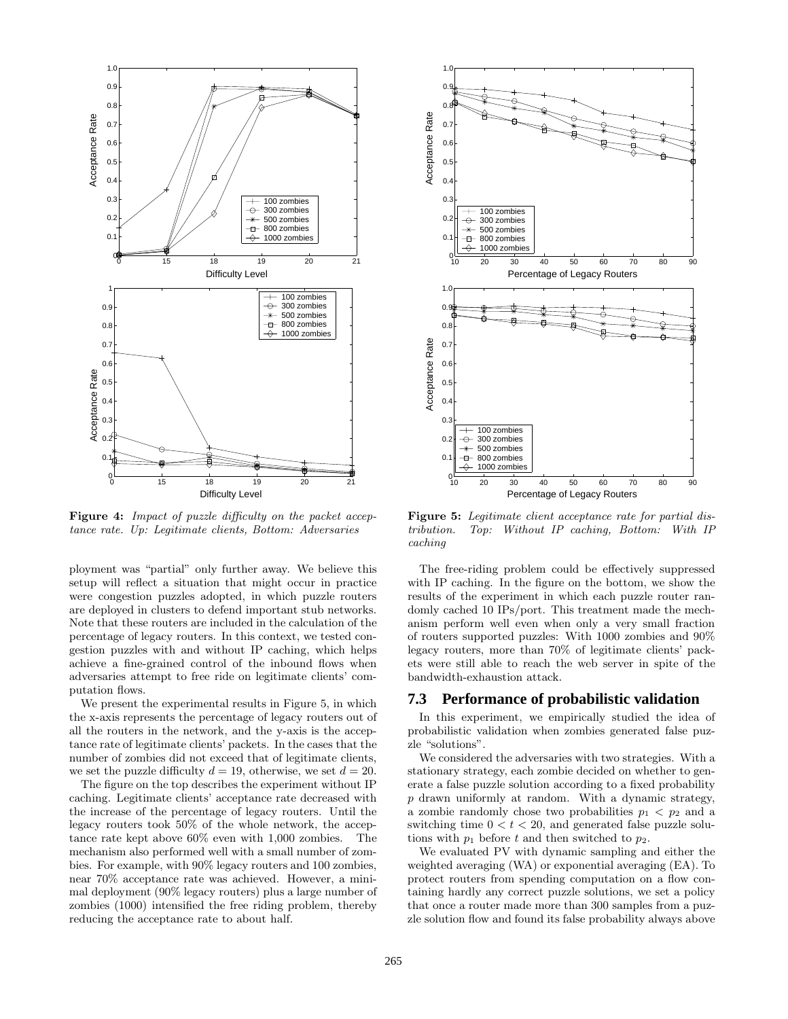

**Figure 4:** Impact of puzzle difficulty on the packet acceptance rate. Up: Legitimate clients, Bottom: Adversaries

ployment was "partial" only further away. We believe this setup will reflect a situation that might occur in practice were congestion puzzles adopted, in which puzzle routers are deployed in clusters to defend important stub networks. Note that these routers are included in the calculation of the percentage of legacy routers. In this context, we tested congestion puzzles with and without IP caching, which helps achieve a fine-grained control of the inbound flows when adversaries attempt to free ride on legitimate clients' computation flows.

We present the experimental results in Figure 5, in which the x-axis represents the percentage of legacy routers out of all the routers in the network, and the y-axis is the acceptance rate of legitimate clients' packets. In the cases that the number of zombies did not exceed that of legitimate clients, we set the puzzle difficulty  $d = 19$ , otherwise, we set  $d = 20$ .

The figure on the top describes the experiment without IP caching. Legitimate clients' acceptance rate decreased with the increase of the percentage of legacy routers. Until the legacy routers took 50% of the whole network, the acceptance rate kept above 60% even with 1,000 zombies. The mechanism also performed well with a small number of zombies. For example, with 90% legacy routers and 100 zombies, near 70% acceptance rate was achieved. However, a minimal deployment (90% legacy routers) plus a large number of zombies (1000) intensified the free riding problem, thereby reducing the acceptance rate to about half.



**Figure 5:** Legitimate client acceptance rate for partial distribution. Top: Without IP caching, Bottom: With IP caching

The free-riding problem could be effectively suppressed with IP caching. In the figure on the bottom, we show the results of the experiment in which each puzzle router randomly cached 10 IPs/port. This treatment made the mechanism perform well even when only a very small fraction of routers supported puzzles: With 1000 zombies and 90% legacy routers, more than 70% of legitimate clients' packets were still able to reach the web server in spite of the bandwidth-exhaustion attack.

#### **7.3 Performance of probabilistic validation**

In this experiment, we empirically studied the idea of probabilistic validation when zombies generated false puzzle "solutions".

We considered the adversaries with two strategies. With a stationary strategy, each zombie decided on whether to generate a false puzzle solution according to a fixed probability p drawn uniformly at random. With a dynamic strategy, a zombie randomly chose two probabilities  $p_1 < p_2$  and a switching time  $0 < t < 20$ , and generated false puzzle solutions with  $p_1$  before t and then switched to  $p_2$ .

We evaluated PV with dynamic sampling and either the weighted averaging (WA) or exponential averaging (EA). To protect routers from spending computation on a flow containing hardly any correct puzzle solutions, we set a policy that once a router made more than 300 samples from a puzzle solution flow and found its false probability always above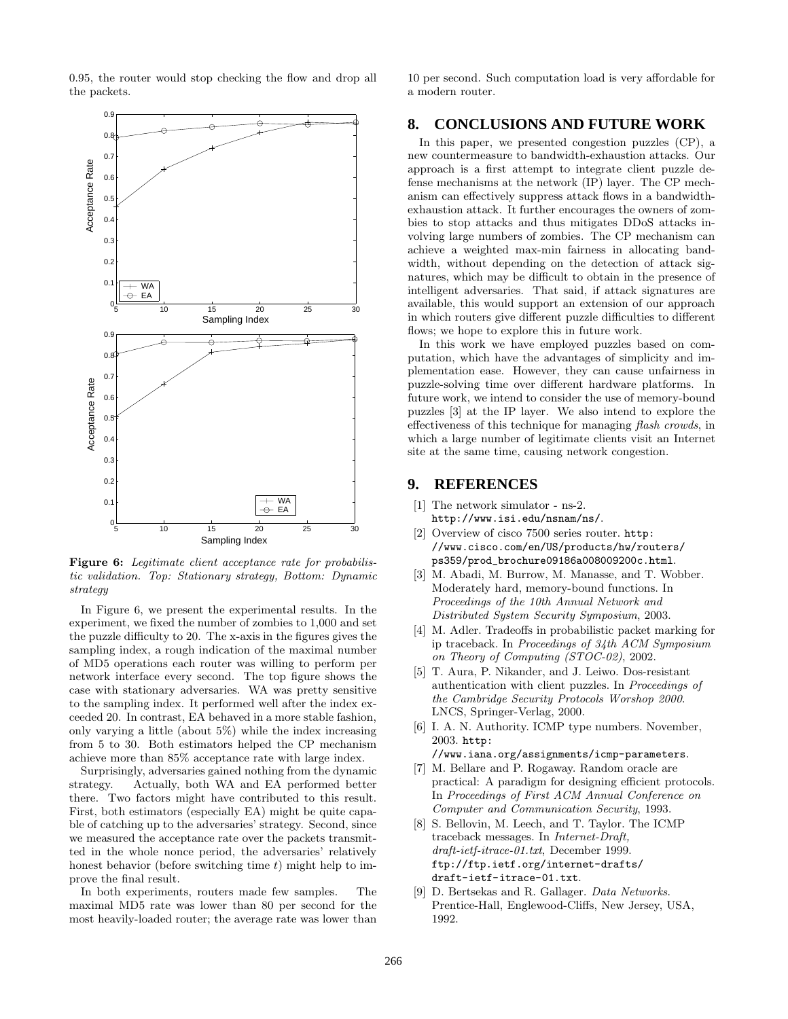0.95, the router would stop checking the flow and drop all the packets.



**Figure 6:** Legitimate client acceptance rate for probabilistic validation. Top: Stationary strategy, Bottom: Dynamic strategy

In Figure 6, we present the experimental results. In the experiment, we fixed the number of zombies to 1,000 and set the puzzle difficulty to 20. The x-axis in the figures gives the sampling index, a rough indication of the maximal number of MD5 operations each router was willing to perform per network interface every second. The top figure shows the case with stationary adversaries. WA was pretty sensitive to the sampling index. It performed well after the index exceeded 20. In contrast, EA behaved in a more stable fashion, only varying a little (about 5%) while the index increasing from 5 to 30. Both estimators helped the CP mechanism achieve more than 85% acceptance rate with large index.

Surprisingly, adversaries gained nothing from the dynamic strategy. Actually, both WA and EA performed better there. Two factors might have contributed to this result. First, both estimators (especially EA) might be quite capable of catching up to the adversaries' strategy. Second, since we measured the acceptance rate over the packets transmitted in the whole nonce period, the adversaries' relatively honest behavior (before switching time  $t$ ) might help to improve the final result.

In both experiments, routers made few samples. The maximal MD5 rate was lower than 80 per second for the most heavily-loaded router; the average rate was lower than

10 per second. Such computation load is very affordable for a modern router.

#### **8. CONCLUSIONS AND FUTURE WORK**

In this paper, we presented congestion puzzles (CP), a new countermeasure to bandwidth-exhaustion attacks. Our approach is a first attempt to integrate client puzzle defense mechanisms at the network (IP) layer. The CP mechanism can effectively suppress attack flows in a bandwidthexhaustion attack. It further encourages the owners of zombies to stop attacks and thus mitigates DDoS attacks involving large numbers of zombies. The CP mechanism can achieve a weighted max-min fairness in allocating bandwidth, without depending on the detection of attack signatures, which may be difficult to obtain in the presence of intelligent adversaries. That said, if attack signatures are available, this would support an extension of our approach in which routers give different puzzle difficulties to different flows; we hope to explore this in future work.

In this work we have employed puzzles based on computation, which have the advantages of simplicity and implementation ease. However, they can cause unfairness in puzzle-solving time over different hardware platforms. In future work, we intend to consider the use of memory-bound puzzles [3] at the IP layer. We also intend to explore the effectiveness of this technique for managing flash crowds, in which a large number of legitimate clients visit an Internet site at the same time, causing network congestion.

#### **9. REFERENCES**

- [1] The network simulator ns-2. http://www.isi.edu/nsnam/ns/.
- [2] Overview of cisco 7500 series router. http: //www.cisco.com/en/US/products/hw/routers/ ps359/prod\_brochure09186a008009200c.html.
- [3] M. Abadi, M. Burrow, M. Manasse, and T. Wobber. Moderately hard, memory-bound functions. In Proceedings of the 10th Annual Network and Distributed System Security Symposium, 2003.
- [4] M. Adler. Tradeoffs in probabilistic packet marking for ip traceback. In Proceedings of 34th ACM Symposium on Theory of Computing (STOC-02), 2002.
- [5] T. Aura, P. Nikander, and J. Leiwo. Dos-resistant authentication with client puzzles. In Proceedings of the Cambridge Security Protocols Worshop 2000. LNCS, Springer-Verlag, 2000.
- [6] I. A. N. Authority. ICMP type numbers. November, 2003. http: //www.iana.org/assignments/icmp-parameters.
- [7] M. Bellare and P. Rogaway. Random oracle are practical: A paradigm for designing efficient protocols. In Proceedings of First ACM Annual Conference on Computer and Communication Security, 1993.
- [8] S. Bellovin, M. Leech, and T. Taylor. The ICMP traceback messages. In Internet-Draft, draft-ietf-itrace-01.txt, December 1999. ftp://ftp.ietf.org/internet-drafts/ draft-ietf-itrace-01.txt.
- [9] D. Bertsekas and R. Gallager. Data Networks. Prentice-Hall, Englewood-Cliffs, New Jersey, USA, 1992.